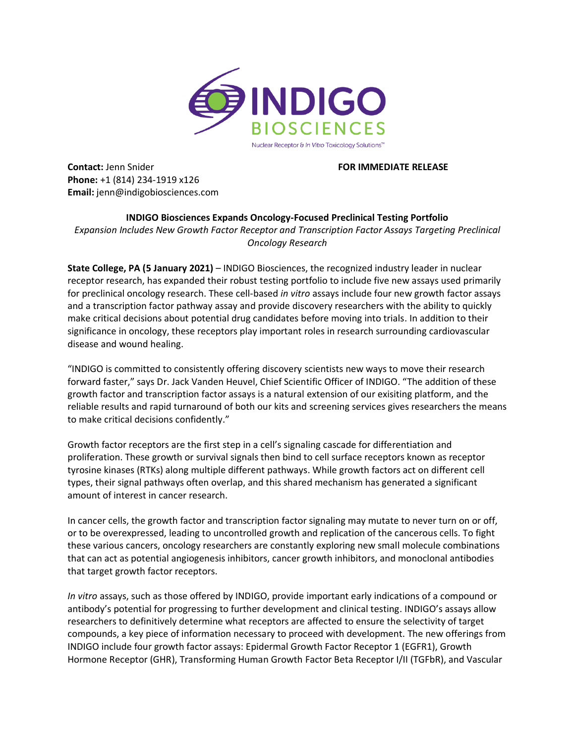

**Contact:** Jenn Snider **FOR IMMEDIATE RELEASE Phone:** +1 (814) 234-1919 x126 **Email:** jenn@indigobiosciences.com

**INDIGO Biosciences Expands Oncology-Focused Preclinical Testing Portfolio** *Expansion Includes New Growth Factor Receptor and Transcription Factor Assays Targeting Preclinical Oncology Research*

**State College, PA (5 January 2021)** – INDIGO Biosciences, the recognized industry leader in nuclear receptor research, has expanded their robust testing portfolio to include five new assays used primarily for preclinical oncology research. These cell-based *in vitro* assays include four new growth factor assays and a transcription factor pathway assay and provide discovery researchers with the ability to quickly make critical decisions about potential drug candidates before moving into trials. In addition to their significance in oncology, these receptors play important roles in research surrounding cardiovascular disease and wound healing.

"INDIGO is committed to consistently offering discovery scientists new ways to move their research forward faster," says Dr. Jack Vanden Heuvel, Chief Scientific Officer of INDIGO. "The addition of these growth factor and transcription factor assays is a natural extension of our exisiting platform, and the reliable results and rapid turnaround of both our kits and screening services gives researchers the means to make critical decisions confidently."

Growth factor receptors are the first step in a cell's signaling cascade for differentiation and proliferation. These growth or survival signals then bind to cell surface receptors known as receptor tyrosine kinases (RTKs) along multiple different pathways. While growth factors act on different cell types, their signal pathways often overlap, and this shared mechanism has generated a significant amount of interest in cancer research.

In cancer cells, the growth factor and transcription factor signaling may mutate to never turn on or off, or to be overexpressed, leading to uncontrolled growth and replication of the cancerous cells. To fight these various cancers, oncology researchers are constantly exploring new small molecule combinations that can act as potential angiogenesis inhibitors, cancer growth inhibitors, and monoclonal antibodies that target growth factor receptors.

*In vitro* assays, such as those offered by INDIGO, provide important early indications of a compound or antibody's potential for progressing to further development and clinical testing. INDIGO's assays allow researchers to definitively determine what receptors are affected to ensure the selectivity of target compounds, a key piece of information necessary to proceed with development. The new offerings from INDIGO include four growth factor assays: Epidermal Growth Factor Receptor 1 (EGFR1), Growth Hormone Receptor (GHR), Transforming Human Growth Factor Beta Receptor I/II (TGFbR), and Vascular